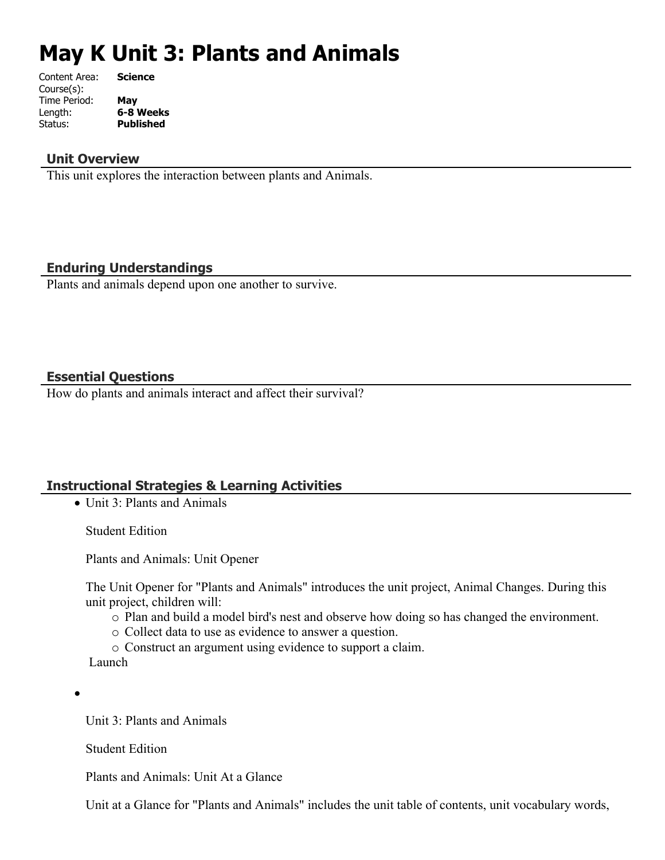# **May K Unit 3: Plants and Animals**

| Content Area: | <b>Science</b>   |
|---------------|------------------|
| Course(s):    |                  |
| Time Period:  | May              |
| Length:       | 6-8 Weeks        |
| Status:       | <b>Published</b> |
|               |                  |

## **Unit Overview**

This unit explores the interaction between plants and Animals.

# **Enduring Understandings**

Plants and animals depend upon one another to survive.

### **Essential Questions**

How do plants and animals interact and affect their survival?

# **Instructional Strategies & Learning Activities**

• Unit 3: Plants and Animals

Student Edition

Plants and Animals: Unit Opener

The Unit Opener for "Plants and Animals" introduces the unit project, Animal Changes. During this unit project, children will:

- o Plan and build a model bird's nest and observe how doing so has changed the environment.
- o Collect data to use as evidence to answer a question.

o Construct an argument using evidence to support a claim.

Launch

 $\bullet$ 

Unit 3: Plants and Animals

Student Edition

Plants and Animals: Unit At a Glance

Unit at a Glance for "Plants and Animals" includes the unit table of contents, unit vocabulary words,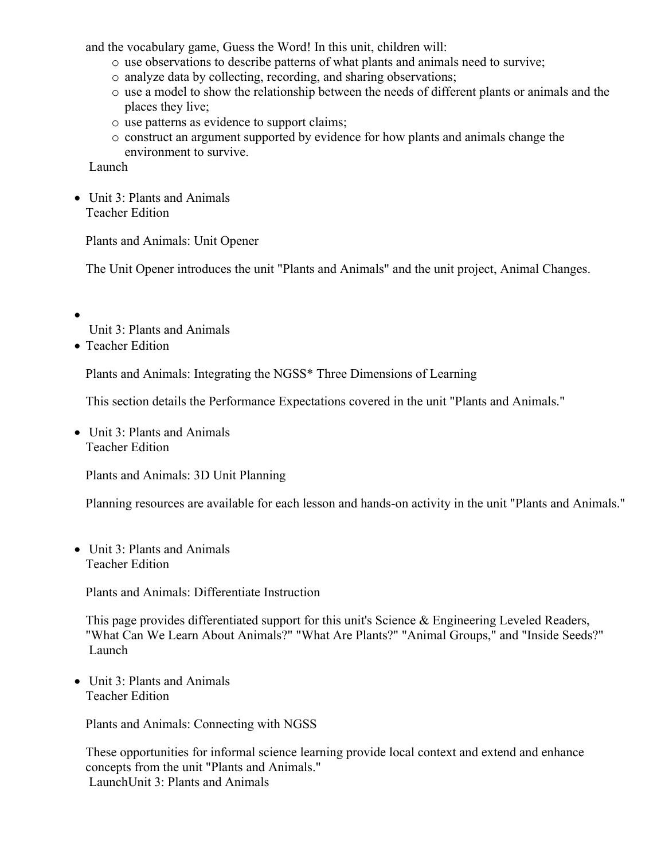and the vocabulary game, Guess the Word! In this unit, children will:

- o use observations to describe patterns of what plants and animals need to survive;
- o analyze data by collecting, recording, and sharing observations;
- o use a model to show the relationship between the needs of different plants or animals and the places they live;
- o use patterns as evidence to support claims;
- o construct an argument supported by evidence for how plants and animals change the environment to survive.

Launch

• Unit 3: Plants and Animals Teacher Edition

Plants and Animals: Unit Opener

The Unit Opener introduces the unit "Plants and Animals" and the unit project, Animal Changes.

 $\bullet$ 

Unit 3: Plants and Animals

• Teacher Edition

Plants and Animals: Integrating the NGSS\* Three Dimensions of Learning

This section details the Performance Expectations covered in the unit "Plants and Animals."

• Unit 3: Plants and Animals Teacher Edition

Plants and Animals: 3D Unit Planning

Planning resources are available for each lesson and hands-on activity in the unit "Plants and Animals."

• Unit 3: Plants and Animals Teacher Edition

Plants and Animals: Differentiate Instruction

This page provides differentiated support for this unit's Science  $\&$  Engineering Leveled Readers, "What Can We Learn About Animals?" "What Are Plants?" "Animal Groups," and "Inside Seeds?" Launch

 Unit 3: Plants and Animals Teacher Edition

Plants and Animals: Connecting with NGSS

These opportunities for informal science learning provide local context and extend and enhance concepts from the unit "Plants and Animals." LaunchUnit 3: Plants and Animals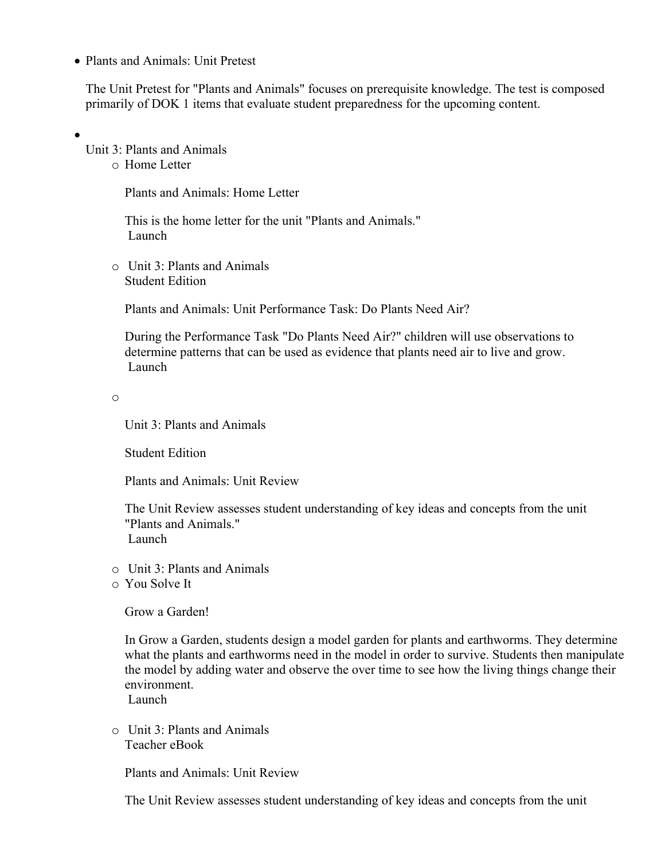• Plants and Animals: Unit Pretest

The Unit Pretest for "Plants and Animals" focuses on prerequisite knowledge. The test is composed primarily of DOK 1 items that evaluate student preparedness for the upcoming content.

 $\bullet$ 

Unit 3: Plants and Animals

o Home Letter

Plants and Animals: Home Letter

This is the home letter for the unit "Plants and Animals." Launch

o Unit 3: Plants and Animals Student Edition

Plants and Animals: Unit Performance Task: Do Plants Need Air?

During the Performance Task "Do Plants Need Air?" children will use observations to determine patterns that can be used as evidence that plants need air to live and grow. Launch

o

Unit 3: Plants and Animals

Student Edition

Plants and Animals: Unit Review

The Unit Review assesses student understanding of key ideas and concepts from the unit "Plants and Animals." Launch

- o Unit 3: Plants and Animals
- o You Solve It

Grow a Garden!

In Grow a Garden, students design a model garden for plants and earthworms. They determine what the plants and earthworms need in the model in order to survive. Students then manipulate the model by adding water and observe the over time to see how the living things change their environment.

Launch

o Unit 3: Plants and Animals Teacher eBook

Plants and Animals: Unit Review

The Unit Review assesses student understanding of key ideas and concepts from the unit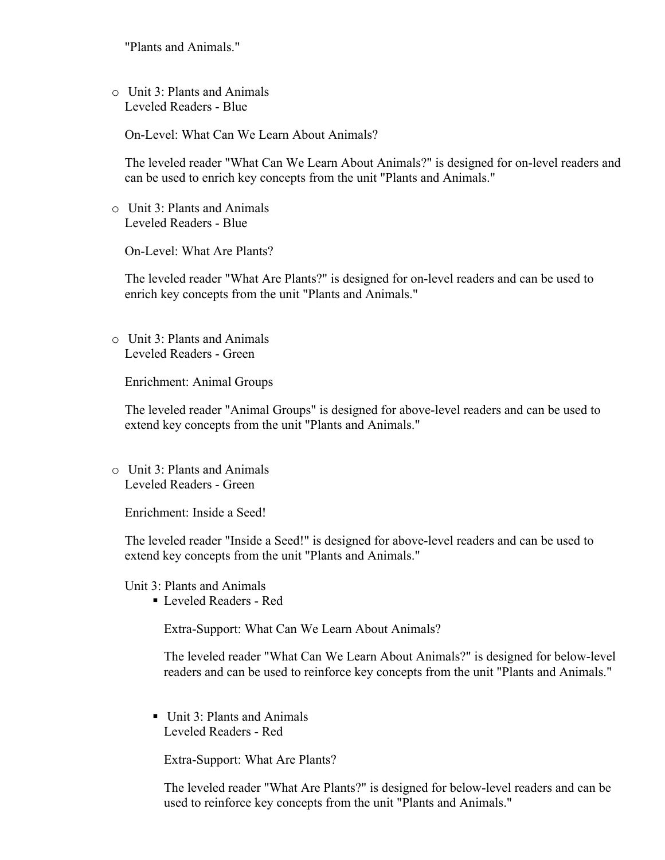"Plants and Animals."

o Unit 3: Plants and Animals Leveled Readers - Blue

On-Level: What Can We Learn About Animals?

The leveled reader "What Can We Learn About Animals?" is designed for on-level readers and can be used to enrich key concepts from the unit "Plants and Animals."

o Unit 3: Plants and Animals Leveled Readers - Blue

On-Level: What Are Plants?

The leveled reader "What Are Plants?" is designed for on-level readers and can be used to enrich key concepts from the unit "Plants and Animals."

o Unit 3: Plants and Animals Leveled Readers - Green

Enrichment: Animal Groups

The leveled reader "Animal Groups" is designed for above-level readers and can be used to extend key concepts from the unit "Plants and Animals."

o Unit 3: Plants and Animals Leveled Readers - Green

Enrichment: Inside a Seed!

The leveled reader "Inside a Seed!" is designed for above-level readers and can be used to extend key concepts from the unit "Plants and Animals."

Unit 3: Plants and Animals

Leveled Readers - Red

Extra-Support: What Can We Learn About Animals?

The leveled reader "What Can We Learn About Animals?" is designed for below-level readers and can be used to reinforce key concepts from the unit "Plants and Animals."

Unit 3: Plants and Animals Leveled Readers - Red

Extra-Support: What Are Plants?

The leveled reader "What Are Plants?" is designed for below-level readers and can be used to reinforce key concepts from the unit "Plants and Animals."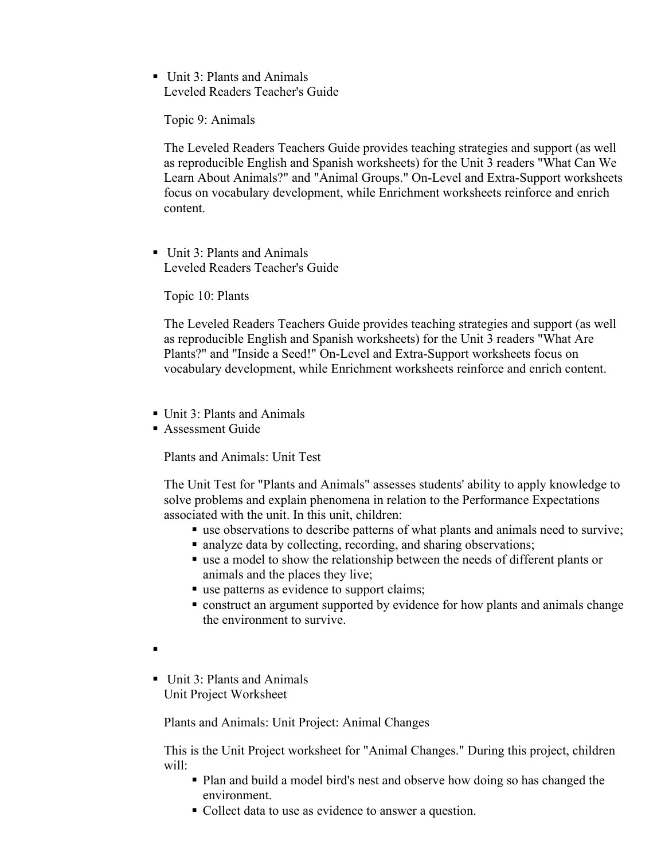■ Unit 3: Plants and Animals Leveled Readers Teacher's Guide

Topic 9: Animals

The Leveled Readers Teachers Guide provides teaching strategies and support (as well as reproducible English and Spanish worksheets) for the Unit 3 readers "What Can We Learn About Animals?" and "Animal Groups." On-Level and Extra-Support worksheets focus on vocabulary development, while Enrichment worksheets reinforce and enrich content.

Unit 3: Plants and Animals Leveled Readers Teacher's Guide

Topic 10: Plants

The Leveled Readers Teachers Guide provides teaching strategies and support (as well as reproducible English and Spanish worksheets) for the Unit 3 readers "What Are Plants?" and "Inside a Seed!" On-Level and Extra-Support worksheets focus on vocabulary development, while Enrichment worksheets reinforce and enrich content.

- Unit 3: Plants and Animals
- **Assessment Guide**

Plants and Animals: Unit Test

The Unit Test for "Plants and Animals" assesses students' ability to apply knowledge to solve problems and explain phenomena in relation to the Performance Expectations associated with the unit. In this unit, children:

- use observations to describe patterns of what plants and animals need to survive;
- analyze data by collecting, recording, and sharing observations;
- use a model to show the relationship between the needs of different plants or animals and the places they live;
- use patterns as evidence to support claims;
- construct an argument supported by evidence for how plants and animals change the environment to survive.
- $\blacksquare$
- Unit 3: Plants and Animals Unit Project Worksheet

Plants and Animals: Unit Project: Animal Changes

This is the Unit Project worksheet for "Animal Changes." During this project, children will:

- Plan and build a model bird's nest and observe how doing so has changed the environment.
- Collect data to use as evidence to answer a question.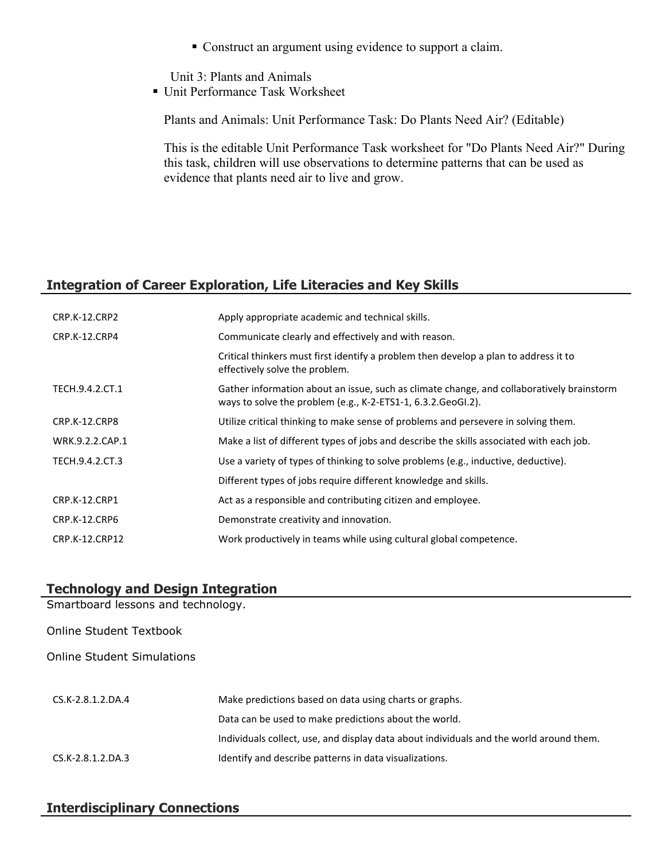Construct an argument using evidence to support a claim.

Unit 3: Plants and Animals

■ Unit Performance Task Worksheet

Plants and Animals: Unit Performance Task: Do Plants Need Air? (Editable)

This is the editable Unit Performance Task worksheet for "Do Plants Need Air?" During this task, children will use observations to determine patterns that can be used as evidence that plants need air to live and grow.

# **Integration of Career Exploration, Life Literacies and Key Skills**

| CRP.K-12.CRP2        | Apply appropriate academic and technical skills.                                                                                                           |
|----------------------|------------------------------------------------------------------------------------------------------------------------------------------------------------|
| CRP.K-12.CRP4        | Communicate clearly and effectively and with reason.                                                                                                       |
|                      | Critical thinkers must first identify a problem then develop a plan to address it to<br>effectively solve the problem.                                     |
| TECH.9.4.2.CT.1      | Gather information about an issue, such as climate change, and collaboratively brainstorm<br>ways to solve the problem (e.g., K-2-ETS1-1, 6.3.2. GeoGI.2). |
| CRP.K-12.CRP8        | Utilize critical thinking to make sense of problems and persevere in solving them.                                                                         |
| WRK.9.2.2.CAP.1      | Make a list of different types of jobs and describe the skills associated with each job.                                                                   |
| TECH.9.4.2.CT.3      | Use a variety of types of thinking to solve problems (e.g., inductive, deductive).                                                                         |
|                      | Different types of jobs require different knowledge and skills.                                                                                            |
| <b>CRP.K-12.CRP1</b> | Act as a responsible and contributing citizen and employee.                                                                                                |
| CRP.K-12.CRP6        | Demonstrate creativity and innovation.                                                                                                                     |
| CRP.K-12.CRP12       | Work productively in teams while using cultural global competence.                                                                                         |

# **Technology and Design Integration** Smartboard lessons and technology. Online Student Textbook Online Student Simulations CS.K-2.8.1.2.DA.4 Make predictions based on data using charts or graphs. Data can be used to make predictions about the world. Individuals collect, use, and display data about individuals and the world around them. CS.K-2.8.1.2.DA.3 Identify and describe patterns in data visualizations.

# **Interdisciplinary Connections**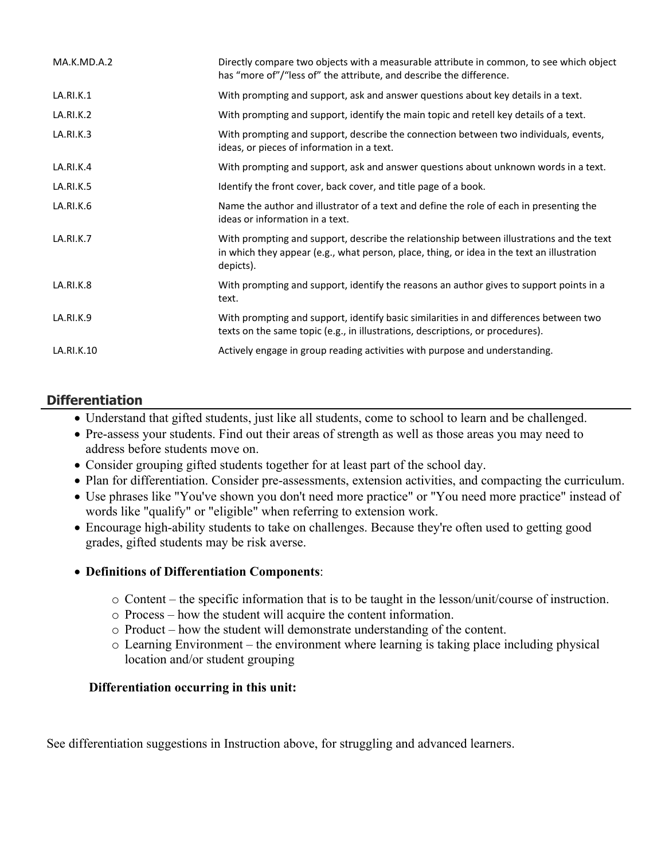| MA.K.MD.A.2 | Directly compare two objects with a measurable attribute in common, to see which object<br>has "more of"/"less of" the attribute, and describe the difference.                                      |
|-------------|-----------------------------------------------------------------------------------------------------------------------------------------------------------------------------------------------------|
| LA.RI.K.1   | With prompting and support, ask and answer questions about key details in a text.                                                                                                                   |
| LA.RI.K.2   | With prompting and support, identify the main topic and retell key details of a text.                                                                                                               |
| LA.RI.K.3   | With prompting and support, describe the connection between two individuals, events,<br>ideas, or pieces of information in a text.                                                                  |
| LA.RI.K.4   | With prompting and support, ask and answer questions about unknown words in a text.                                                                                                                 |
| LA.RI.K.5   | Identify the front cover, back cover, and title page of a book.                                                                                                                                     |
| LA.RI.K.6   | Name the author and illustrator of a text and define the role of each in presenting the<br>ideas or information in a text.                                                                          |
| LA.RI.K.7   | With prompting and support, describe the relationship between illustrations and the text<br>in which they appear (e.g., what person, place, thing, or idea in the text an illustration<br>depicts). |
| LA.RI.K.8   | With prompting and support, identify the reasons an author gives to support points in a<br>text.                                                                                                    |
| LA.RI.K.9   | With prompting and support, identify basic similarities in and differences between two<br>texts on the same topic (e.g., in illustrations, descriptions, or procedures).                            |
| LA.RI.K.10  | Actively engage in group reading activities with purpose and understanding.                                                                                                                         |

# **Differentiation**

- Understand that gifted students, just like all students, come to school to learn and be challenged.
- Pre-assess your students. Find out their areas of strength as well as those areas you may need to address before students move on.
- Consider grouping gifted students together for at least part of the school day.
- Plan for differentiation. Consider pre-assessments, extension activities, and compacting the curriculum.
- Use phrases like "You've shown you don't need more practice" or "You need more practice" instead of words like "qualify" or "eligible" when referring to extension work.
- Encourage high-ability students to take on challenges. Because they're often used to getting good grades, gifted students may be risk averse.

### **Definitions of Differentiation Components**:

- o Content the specific information that is to be taught in the lesson/unit/course of instruction.
- o Process how the student will acquire the content information.
- o Product how the student will demonstrate understanding of the content.
- o Learning Environment the environment where learning is taking place including physical location and/or student grouping

### **Differentiation occurring in this unit:**

See differentiation suggestions in Instruction above, for struggling and advanced learners.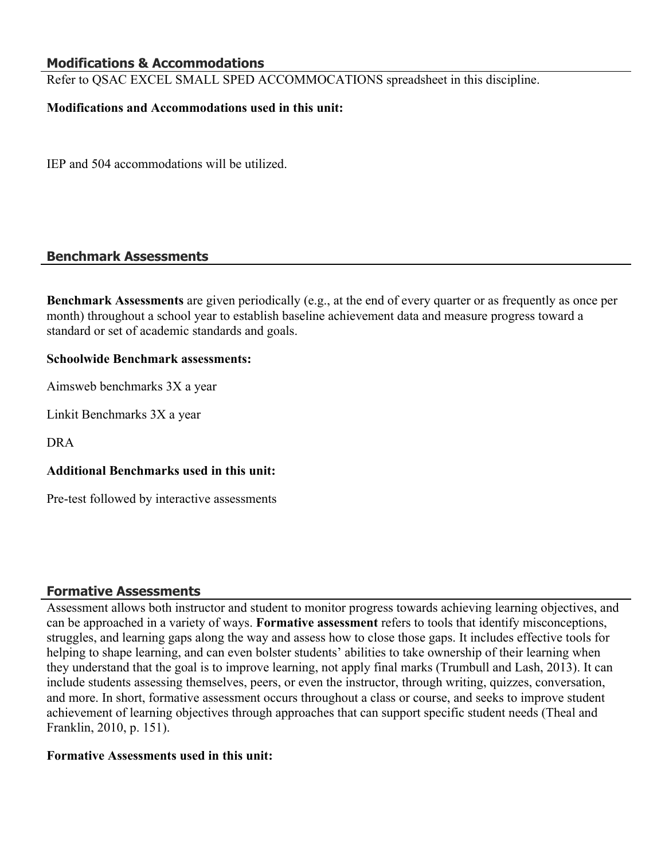## **Modifications & Accommodations**

Refer to QSAC EXCEL SMALL SPED ACCOMMOCATIONS spreadsheet in this discipline.

#### **Modifications and Accommodations used in this unit:**

IEP and 504 accommodations will be utilized.

#### **Benchmark Assessments**

**Benchmark Assessments** are given periodically (e.g., at the end of every quarter or as frequently as once per month) throughout a school year to establish baseline achievement data and measure progress toward a standard or set of academic standards and goals.

#### **Schoolwide Benchmark assessments:**

Aimsweb benchmarks 3X a year

Linkit Benchmarks 3X a year

DRA

#### **Additional Benchmarks used in this unit:**

Pre-test followed by interactive assessments

#### **Formative Assessments**

Assessment allows both instructor and student to monitor progress towards achieving learning objectives, and can be approached in a variety of ways. **Formative assessment** refers to tools that identify misconceptions, struggles, and learning gaps along the way and assess how to close those gaps. It includes effective tools for helping to shape learning, and can even bolster students' abilities to take ownership of their learning when they understand that the goal is to improve learning, not apply final marks (Trumbull and Lash, 2013). It can include students assessing themselves, peers, or even the instructor, through writing, quizzes, conversation, and more. In short, formative assessment occurs throughout a class or course, and seeks to improve student achievement of learning objectives through approaches that can support specific student needs (Theal and Franklin, 2010, p. 151).

#### **Formative Assessments used in this unit:**